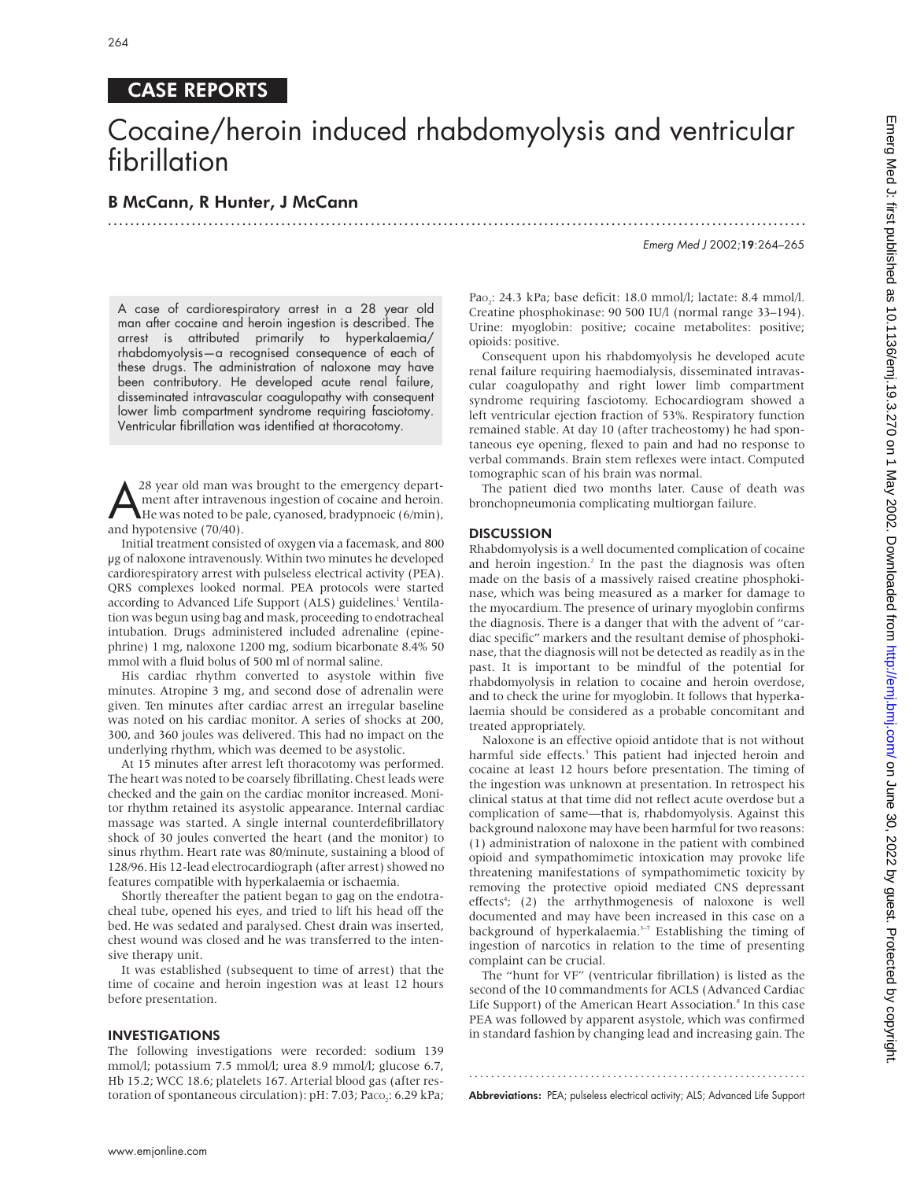# CASE REPORTS

# Cocaine/heroin induced rhabdomyolysis and ventricular fibrillation

.............................................................................................................................

# B McCann, R Hunter, J McCann

Emerg Med J 2002;19:264–265

A case of cardiorespiratory arrest in a 28 year old man after cocaine and heroin ingestion is described. The arrest is attributed primarily to hyperkalaemia/ rhabdomyolysis—a recognised consequence of each of these drugs. The administration of naloxone may have been contributory. He developed acute renal failure, disseminated intravascular coagulopathy with consequent lower limb compartment syndrome requiring fasciotomy. Ventricular fibrillation was identified at thoracotomy.

28 year old man was brought to the emergency depart-<br>ment after intravenous ingestion of cocaine and heroin.<br>He was noted to be pale, cyanosed, bradypnoeic (6/min), ment after intravenous ingestion of cocaine and heroin. He was noted to be pale, cyanosed, bradypnoeic (6/min), and hypotensive (70/40).

Initial treatment consisted of oxygen via a facemask, and 800 µg of naloxone intravenously. Within two minutes he developed cardiorespiratory arrest with pulseless electrical activity (PEA). QRS complexes looked normal. PEA protocols were started according to Advanced Life Support (ALS) guidelines.<sup>1</sup> Ventilation was begun using bag and mask, proceeding to endotracheal intubation. Drugs administered included adrenaline (epinephrine) 1 mg, naloxone 1200 mg, sodium bicarbonate 8.4% 50 mmol with a fluid bolus of 500 ml of normal saline.

His cardiac rhythm converted to asystole within five minutes. Atropine 3 mg, and second dose of adrenalin were given. Ten minutes after cardiac arrest an irregular baseline was noted on his cardiac monitor. A series of shocks at 200, 300, and 360 joules was delivered. This had no impact on the underlying rhythm, which was deemed to be asystolic.

At 15 minutes after arrest left thoracotomy was performed. The heart was noted to be coarsely fibrillating. Chest leads were checked and the gain on the cardiac monitor increased. Monitor rhythm retained its asystolic appearance. Internal cardiac massage was started. A single internal counterdefibrillatory shock of 30 joules converted the heart (and the monitor) to sinus rhythm. Heart rate was 80/minute, sustaining a blood of 128/96. His 12-lead electrocardiograph (after arrest) showed no features compatible with hyperkalaemia or ischaemia.

Shortly thereafter the patient began to gag on the endotracheal tube, opened his eyes, and tried to lift his head off the bed. He was sedated and paralysed. Chest drain was inserted, chest wound was closed and he was transferred to the intensive therapy unit.

It was established (subsequent to time of arrest) that the time of cocaine and heroin ingestion was at least 12 hours before presentation.

## INVESTIGATIONS

The following investigations were recorded: sodium 139 mmol/l; potassium 7.5 mmol/l; urea 8.9 mmol/l; glucose 6.7, Hb 15.2; WCC 18.6; platelets 167. Arterial blood gas (after restoration of spontaneous circulation): pH: 7.03; Paco<sub>2</sub>: 6.29 kPa; Pao<sub>2</sub>: 24.3 kPa; base deficit: 18.0 mmol/l; lactate: 8.4 mmol/l. Creatine phosphokinase: 90 500 IU/l (normal range 33–194). Urine: myoglobin: positive; cocaine metabolites: positive; opioids: positive.

Consequent upon his rhabdomyolysis he developed acute renal failure requiring haemodialysis, disseminated intravascular coagulopathy and right lower limb compartment syndrome requiring fasciotomy. Echocardiogram showed a left ventricular ejection fraction of 53%. Respiratory function remained stable. At day 10 (after tracheostomy) he had spontaneous eye opening, flexed to pain and had no response to verbal commands. Brain stem reflexes were intact. Computed tomographic scan of his brain was normal.

The patient died two months later. Cause of death was bronchopneumonia complicating multiorgan failure.

#### **DISCUSSION**

Rhabdomyolysis is a well documented complication of cocaine and heroin ingestion.<sup>2</sup> In the past the diagnosis was often made on the basis of a massively raised creatine phosphokinase, which was being measured as a marker for damage to the myocardium. The presence of urinary myoglobin confirms the diagnosis. There is a danger that with the advent of "cardiac specific" markers and the resultant demise of phosphokinase, that the diagnosis will not be detected as readily as in the past. It is important to be mindful of the potential for rhabdomyolysis in relation to cocaine and heroin overdose, and to check the urine for myoglobin. It follows that hyperkalaemia should be considered as a probable concomitant and treated appropriately.

Naloxone is an effective opioid antidote that is not without harmful side effects.<sup>3</sup> This patient had injected heroin and cocaine at least 12 hours before presentation. The timing of the ingestion was unknown at presentation. In retrospect his clinical status at that time did not reflect acute overdose but a complication of same—that is, rhabdomyolysis. Against this background naloxone may have been harmful for two reasons: (1) administration of naloxone in the patient with combined opioid and sympathomimetic intoxication may provoke life threatening manifestations of sympathomimetic toxicity by removing the protective opioid mediated CNS depressant effects<sup>4</sup>; (2) the arrhythmogenesis of naloxone is well documented and may have been increased in this case on a background of hyperkalaemia.<sup>3-7</sup> Establishing the timing of ingestion of narcotics in relation to the time of presenting complaint can be crucial.

The "hunt for VF" (ventricular fibrillation) is listed as the second of the 10 commandments for ACLS (Advanced Cardiac Life Support) of the American Heart Association.<sup>8</sup> In this case PEA was followed by apparent asystole, which was confirmed in standard fashion by changing lead and increasing gain. The

............................................................. Abbreviations: PEA; pulseless electrical activity; ALS; Advanced Life Support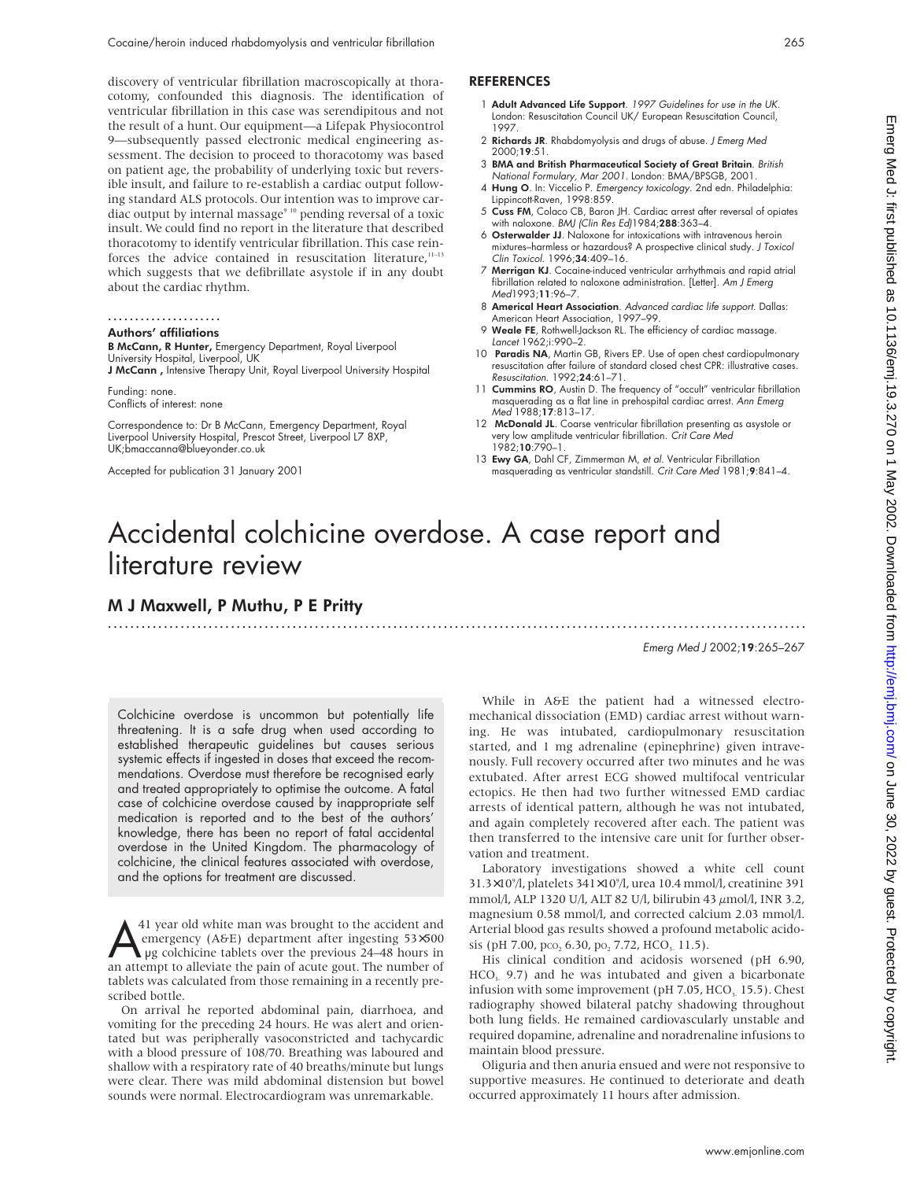discovery of ventricular fibrillation macroscopically at thoracotomy, confounded this diagnosis. The identification of ventricular fibrillation in this case was serendipitous and not the result of a hunt. Our equipment—a Lifepak Physiocontrol 9—subsequently passed electronic medical engineering assessment. The decision to proceed to thoracotomy was based on patient age, the probability of underlying toxic but reversible insult, and failure to re-establish a cardiac output following standard ALS protocols. Our intention was to improve cardiac output by internal massage<sup>9 10</sup> pending reversal of a toxic insult. We could find no report in the literature that described thoracotomy to identify ventricular fibrillation. This case reinforces the advice contained in resuscitation literature, $11-13$ which suggests that we defibrillate asystole if in any doubt about the cardiac rhythm.

# .....................

# Authors' affiliations

B McCann, R Hunter, Emergency Department, Royal Liverpool University Hospital, Liverpool, UK

J McCann, Intensive Therapy Unit, Royal Liverpool University Hospital

Funding: none. Conflicts of interest: none

Correspondence to: Dr B McCann, Emergency Department, Royal Liverpool University Hospital, Prescot Street, Liverpool L7 8XP, UK;bmaccanna@blueyonder.co.uk

Accepted for publication 31 January 2001

# REFERENCES

- 1 Adult Advanced Life Support. 1997 Guidelines for use in the UK. London: Resuscitation Council UK/ European Resuscitation Council, 1997.
- 2 Richards JR. Rhabdomyolysis and drugs of abuse. J Emerg Med 2000;19:51.
- 3 BMA and British Pharmaceutical Society of Great Britain. British National Formulary, Mar 2001. London: BMA/BPSGB, 2001.
- 4 Hung O. In: Viccelio P. Emergency toxicology. 2nd edn. Philadelphia: Lippincott-Raven, 1998:859.
- 5 Cuss FM, Colaco CB, Baron JH. Cardiac arrest after reversal of opiates with naloxone. BMJ (Clin Res Ed)1984;288:363-4.
- 6 Osterwalder JJ. Naloxone for intoxications with intravenous heroin mixtures–harmless or hazardous? A prospective clinical study. J Toxicol Clin Toxicol. 1996;34:409–16.
- Merrigan KJ. Cocaine-induced ventricular arrhythmais and rapid atrial fibrillation related to naloxone administration. [Letter]. Am J Emerg Med1993;11:96–7.
- 8 Americal Heart Association. Advanced cardiac life support. Dallas: American Heart Association, 1997–99.
- 9 Weale FE, Rothwell-Jackson RL. The efficiency of cardiac massage. Lancet 1962;i:990–2.
- 10 Paradis NA, Martin GB, Rivers EP. Use of open chest cardiopulmonary resuscitation after failure of standard closed chest CPR: illustrative cases. Resuscitation. 1992;24:61–71.
- 11 Cummins RO, Austin D. The frequency of "occult" ventricular fibrillation masquerading as a flat line in prehospital cardiac arrest. Ann Emerg Med<sup>'</sup>1988;17:813-17.
- 12 McDonald JL. Coarse ventricular fibrillation presenting as asystole or very low amplitude ventricular fibrillation. Crit Care Med 1982;10:790–1.
- 13 Ewy GA, Dahl CF, Zimmerman M, et al. Ventricular Fibrillation masquerading as ventricular standstill. Crit Care Med 1981;9:841–4.

# Accidental colchicine overdose. A case report and literature review

.............................................................................................................................

# M J Maxwell, P Muthu, P E Pritty

### Emerg Med J 2002;19:265–267

Colchicine overdose is uncommon but potentially life threatening. It is a safe drug when used according to established therapeutic guidelines but causes serious systemic effects if ingested in doses that exceed the recommendations. Overdose must therefore be recognised early and treated appropriately to optimise the outcome. A fatal case of colchicine overdose caused by inappropriate self medication is reported and to the best of the authors' knowledge, there has been no report of fatal accidental overdose in the United Kingdom. The pharmacology of colchicine, the clinical features associated with overdose, and the options for treatment are discussed.

 $\sum_{\text{up} \text{energy (AGE)}}$  (A&E) department after ingesting 53×500 pg colchicine tablets over the previous 24–48 hours in an attempt to alleviate the pain of acute gout. The number of emergency (A&E) department after ingesting 53×500 an attempt to alleviate the pain of acute gout. The number of tablets was calculated from those remaining in a recently prescribed bottle.

On arrival he reported abdominal pain, diarrhoea, and vomiting for the preceding 24 hours. He was alert and orientated but was peripherally vasoconstricted and tachycardic with a blood pressure of 108/70. Breathing was laboured and shallow with a respiratory rate of 40 breaths/minute but lungs were clear. There was mild abdominal distension but bowel sounds were normal. Electrocardiogram was unremarkable.

While in A&E the patient had a witnessed electromechanical dissociation (EMD) cardiac arrest without warning. He was intubated, cardiopulmonary resuscitation started, and 1 mg adrenaline (epinephrine) given intravenously. Full recovery occurred after two minutes and he was extubated. After arrest ECG showed multifocal ventricular ectopics. He then had two further witnessed EMD cardiac arrests of identical pattern, although he was not intubated, and again completely recovered after each. The patient was then transferred to the intensive care unit for further observation and treatment.

Laboratory investigations showed a white cell count 31.3×109 /l, platelets 341×109 /l, urea 10.4 mmol/l, creatinine 391 mmol/l, ALP 1320 U/l, ALT 82 U/l, bilirubin 43 µmol/l, INR 3.2, magnesium 0.58 mmol/l, and corrected calcium 2.03 mmol/l. Arterial blood gas results showed a profound metabolic acidosis (pH 7.00, pco, 6.30, po, 7.72, HCO<sub>3</sub> 11.5).

His clinical condition and acidosis worsened (pH 6.90,  $HCO<sub>3</sub>$  9.7) and he was intubated and given a bicarbonate infusion with some improvement (pH  $7.05$ , HCO<sub>3</sub> 15.5). Chest radiography showed bilateral patchy shadowing throughout both lung fields. He remained cardiovascularly unstable and required dopamine, adrenaline and noradrenaline infusions to maintain blood pressure.

Oliguria and then anuria ensued and were not responsive to supportive measures. He continued to deteriorate and death occurred approximately 11 hours after admission.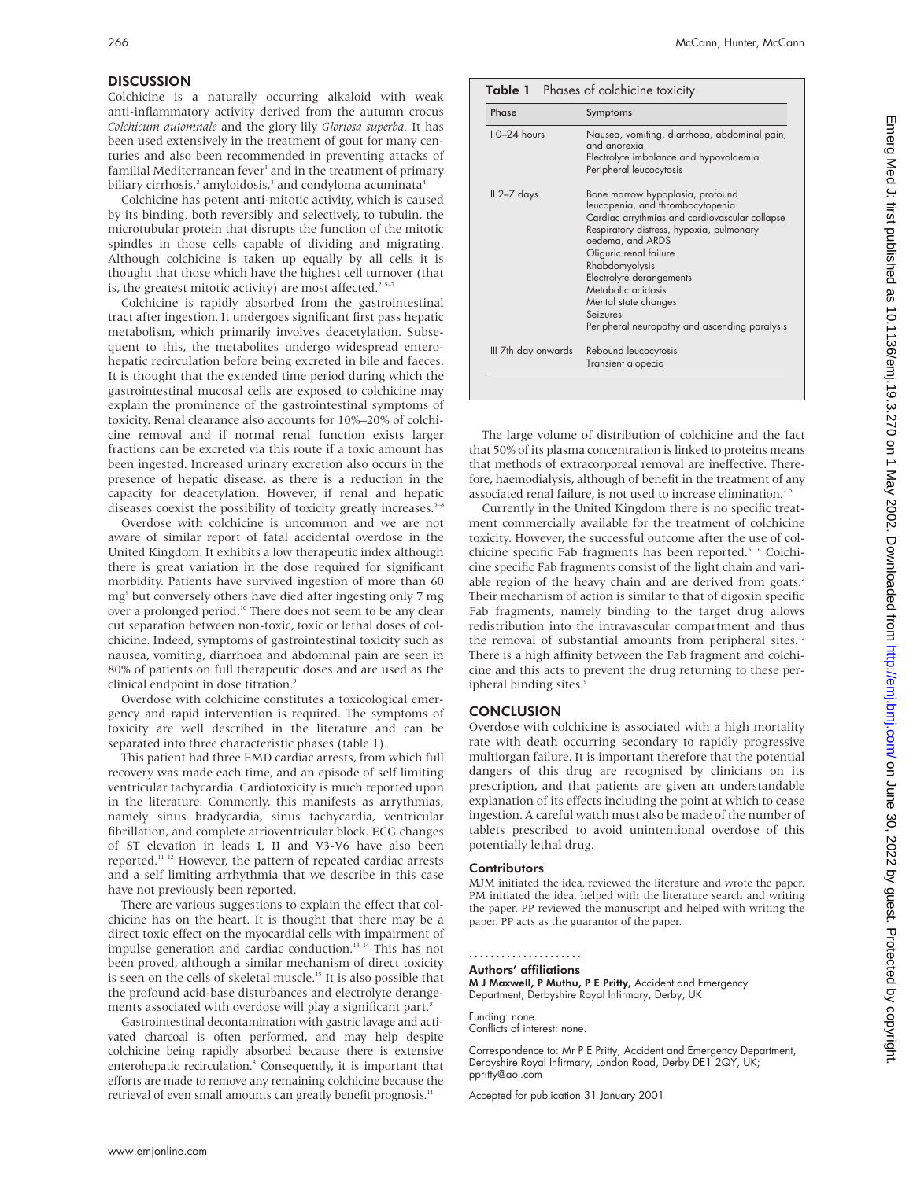# **DISCUSSION**

Colchicine is a naturally occurring alkaloid with weak anti-inflammatory activity derived from the autumn crocus *Colchicum automnale* and the glory lily *Gloriosa superba.* It has been used extensively in the treatment of gout for many centuries and also been recommended in preventing attacks of familial Mediterranean fever<sup>1</sup> and in the treatment of primary biliary cirrhosis,<sup>2</sup> amyloidosis,<sup>3</sup> and condyloma acuminata<sup>4</sup>

Colchicine has potent anti-mitotic activity, which is caused by its binding, both reversibly and selectively, to tubulin, the microtubular protein that disrupts the function of the mitotic spindles in those cells capable of dividing and migrating. Although colchicine is taken up equally by all cells it is thought that those which have the highest cell turnover (that is, the greatest mitotic activity) are most affected.<sup>2 5-7</sup>

Colchicine is rapidly absorbed from the gastrointestinal tract after ingestion. It undergoes significant first pass hepatic metabolism, which primarily involves deacetylation. Subsequent to this, the metabolites undergo widespread enterohepatic recirculation before being excreted in bile and faeces. It is thought that the extended time period during which the gastrointestinal mucosal cells are exposed to colchicine may explain the prominence of the gastrointestinal symptoms of toxicity. Renal clearance also accounts for 10%–20% of colchicine removal and if normal renal function exists larger fractions can be excreted via this route if a toxic amount has been ingested. Increased urinary excretion also occurs in the presence of hepatic disease, as there is a reduction in the capacity for deacetylation. However, if renal and hepatic diseases coexist the possibility of toxicity greatly increases.<sup>5-8</sup>

Overdose with colchicine is uncommon and we are not aware of similar report of fatal accidental overdose in the United Kingdom. It exhibits a low therapeutic index although there is great variation in the dose required for significant morbidity. Patients have survived ingestion of more than 60 mg<sup>9</sup> but conversely others have died after ingesting only 7 mg over a prolonged period.<sup>10</sup> There does not seem to be any clear cut separation between non-toxic, toxic or lethal doses of colchicine. Indeed, symptoms of gastrointestinal toxicity such as nausea, vomiting, diarrhoea and abdominal pain are seen in 80% of patients on full therapeutic doses and are used as the clinical endpoint in dose titration.<sup>5</sup>

Overdose with colchicine constitutes a toxicological emergency and rapid intervention is required. The symptoms of toxicity are well described in the literature and can be separated into three characteristic phases (table 1).

This patient had three EMD cardiac arrests, from which full recovery was made each time, and an episode of self limiting ventricular tachycardia. Cardiotoxicity is much reported upon in the literature. Commonly, this manifests as arrythmias, namely sinus bradycardia, sinus tachycardia, ventricular fibrillation, and complete atrioventricular block. ECG changes of ST elevation in leads I, II and V3-V6 have also been reported.11 12 However, the pattern of repeated cardiac arrests and a self limiting arrhythmia that we describe in this case have not previously been reported.

There are various suggestions to explain the effect that colchicine has on the heart. It is thought that there may be a direct toxic effect on the myocardial cells with impairment of impulse generation and cardiac conduction.13 14 This has not been proved, although a similar mechanism of direct toxicity is seen on the cells of skeletal muscle.15 It is also possible that the profound acid-base disturbances and electrolyte derangements associated with overdose will play a significant part.<sup>8</sup>

Gastrointestinal decontamination with gastric lavage and activated charcoal is often performed, and may help despite colchicine being rapidly absorbed because there is extensive enterohepatic recirculation.<sup>8</sup> Consequently, it is important that efforts are made to remove any remaining colchicine because the retrieval of even small amounts can greatly benefit prognosis.<sup>11</sup>

| Phase               | Symptoms                                                                                                                                                                                                                                                                                                                                                                  |  |  |  |
|---------------------|---------------------------------------------------------------------------------------------------------------------------------------------------------------------------------------------------------------------------------------------------------------------------------------------------------------------------------------------------------------------------|--|--|--|
| $10-24$ hours       | Nausea, vomiting, diarrhoea, abdominal pain,<br>and anorexia<br>Electrolyte imbalance and hypovolaemia<br>Peripheral leucocytosis                                                                                                                                                                                                                                         |  |  |  |
| II 2–7 days         | Bone marrow hypoplasia, profound<br>leucopenia, and thrombocytopenia<br>Cardiac arrythmias and cardiovascular collapse<br>Respiratory distress, hypoxia, pulmonary<br>oedema, and ARDS<br>Oliguric renal failure<br>Rhabdomyolysis<br>Electrolyte derangements<br>Metabolic acidosis<br>Mental state changes<br>Seizures<br>Peripheral neuropathy and ascending paralysis |  |  |  |
| III 7th day onwards | Rebound leucocytosis<br>Transient alopecia                                                                                                                                                                                                                                                                                                                                |  |  |  |

The large volume of distribution of colchicine and the fact that 50% of its plasma concentration is linked to proteins means that methods of extracorporeal removal are ineffective. Therefore, haemodialysis, although of benefit in the treatment of any associated renal failure, is not used to increase elimination.<sup>25</sup>

Currently in the United Kingdom there is no specific treatment commercially available for the treatment of colchicine toxicity. However, the successful outcome after the use of colchicine specific Fab fragments has been reported.<sup>5 16</sup> Colchicine specific Fab fragments consist of the light chain and variable region of the heavy chain and are derived from goats.<sup>2</sup> Their mechanism of action is similar to that of digoxin specific Fab fragments, namely binding to the target drug allows redistribution into the intravascular compartment and thus the removal of substantial amounts from peripheral sites.<sup>12</sup> There is a high affinity between the Fab fragment and colchicine and this acts to prevent the drug returning to these peripheral binding sites.<sup>9</sup>

# **CONCLUSION**

Overdose with colchicine is associated with a high mortality rate with death occurring secondary to rapidly progressive multiorgan failure. It is important therefore that the potential dangers of this drug are recognised by clinicians on its prescription, and that patients are given an understandable explanation of its effects including the point at which to cease ingestion. A careful watch must also be made of the number of tablets prescribed to avoid unintentional overdose of this potentially lethal drug.

### **Contributors**

MJM initiated the idea, reviewed the literature and wrote the paper. PM initiated the idea, helped with the literature search and writing the paper. PP reviewed the manuscript and helped with writing the paper. PP acts as the guarantor of the paper.

# .....................

Authors' affiliations M J Maxwell, P Muthu, P E Pritty, Accident and Emergency

Department, Derbyshire Royal Infirmary, Derby, UK

Funding: none. Conflicts of interest: none.

Correspondence to: Mr P E Pritty, Accident and Emergency Department, Derbyshire Royal Infirmary, London Road, Derby DE1 2QY, UK; ppritty@aol.com

Accepted for publication 31 January 2001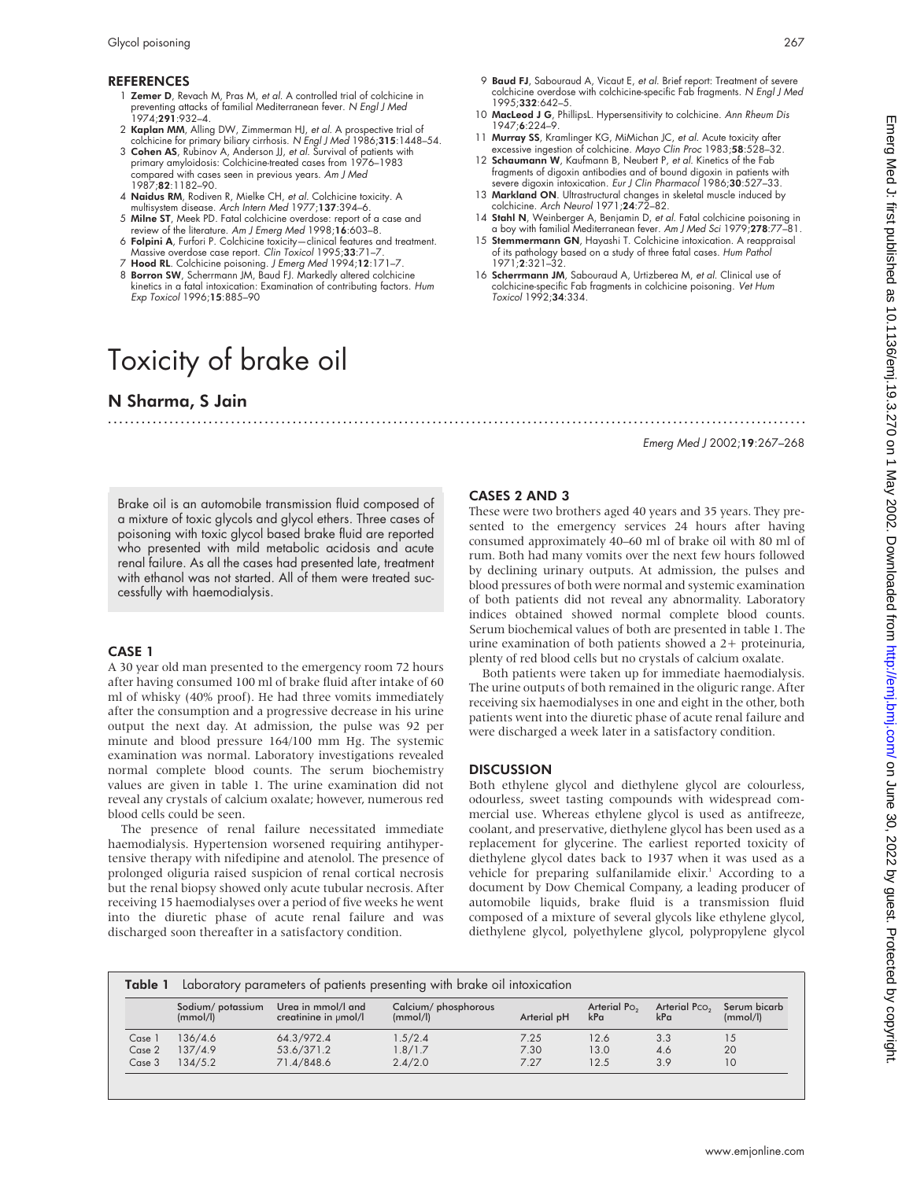# REFERENCES

- 1 Zemer D, Revach M, Pras M, et al. A controlled trial of colchicine in preventing attacks of familial Mediterranean fever. N *Engl J Med*<br>1974;**291**:932–4.
- 2 Kaplan MM, Alling DW, Zimmerman HJ, et al. A prospective trial of colchicine for primary biliary cirrhosis. N Engl J Med 1986;315:1448–54.
- 3 Cohen AS, Rubinov A, Anderson JJ, et al. Survival of patients with primary amyloidosis: Colchicine-treated cases from 1976–1983 compared with cases seen in previous years. Am J Med 1987;82:1182–90.
- 4 Naidus RM, Rodiven R, Mielke CH, et al. Colchicine toxicity. A
- multisystem disease. Arch Intern Med 1977;137:394–6. 5 Milne ST, Meek PD. Fatal colchicine overdose: report of a case and
- review of the literature. Am J Emerg Med 1998;**16**:603–8.<br>6 **Folpini A**, Furfori P. Colchicine toxicity—clinical features and treatment.
- Massive overdose case report. Clin Toxicol 1995;33:71-7 7 Hood RL. Colchicine poisoning. J Emerg Med 1994;12:171-7
- 8 Borron SW, Scherrmann JM, Baud FJ. Markedly altered colchicine kinetics in a fatal intoxication: Examination of contributing factors. Hum Exp Toxicol 1996;15:885–90

# Toxicity of brake oil

# N Sharma, S Jain

.............................................................................................................................

9 Baud FJ, Sabouraud A, Vicaut E, et al. Brief report: Treatment of severe colchicine overdose with colchicine-specific Fab fragments. N Engl J Med 1995;332:642–5.

- 10 MacLeod J G, PhillipsL. Hypersensitivity to colchicine. Ann Rheum Dis 1947;6:224–9.
- 11 Murray SS, Kramlinger KG, MiMichan JC, et al. Acute toxicity after excessive ingestion of colchicine. Mayo Clin Proc 1983;58:528-32.
- 12 Schaumann W, Kaufmann B, Neubert P, et al. Kinetics of the Fab fragments of digoxin antibodies and of bound digoxin in patients with severe digoxin intoxication. Eur J Clin Pharmacol 1986;30:527-33.
- 13 Markland ON. Ultrastructural changes in skeletal muscle induced by colchicine. Arch Neurol 1971;24:72–82.
- 14 Stahl N, Weinberger A, Benjamin D, et al. Fatal colchicine poisoning in a boy with familial Mediterranean fever. Am J Med Sci 1979;278:77–81.
- 15 Stemmermann GN, Hayashi T. Colchicine intoxication. A reappraisal of its pathology based on a study of three fatal cases. Hum Pathol 1971;2:321–32.
- 16 Scherrmann JM, Sabouraud A, Urtizberea M, et al. Clinical use of colchicine-specific Fab fragments in colchicine poisoning. Vet Hum Toxicol 1992;34:334.

# Emerg Med J 2002;19:267–268

Brake oil is an automobile transmission fluid composed of a mixture of toxic glycols and glycol ethers. Three cases of poisoning with toxic glycol based brake fluid are reported who presented with mild metabolic acidosis and acute renal failure. As all the cases had presented late, treatment with ethanol was not started. All of them were treated successfully with haemodialysis.

# CASE 1

A 30 year old man presented to the emergency room 72 hours after having consumed 100 ml of brake fluid after intake of 60 ml of whisky (40% proof). He had three vomits immediately after the consumption and a progressive decrease in his urine output the next day. At admission, the pulse was 92 per minute and blood pressure 164/100 mm Hg. The systemic examination was normal. Laboratory investigations revealed normal complete blood counts. The serum biochemistry values are given in table 1. The urine examination did not reveal any crystals of calcium oxalate; however, numerous red blood cells could be seen.

The presence of renal failure necessitated immediate haemodialysis. Hypertension worsened requiring antihypertensive therapy with nifedipine and atenolol. The presence of prolonged oliguria raised suspicion of renal cortical necrosis but the renal biopsy showed only acute tubular necrosis. After receiving 15 haemodialyses over a period of five weeks he went into the diuretic phase of acute renal failure and was discharged soon thereafter in a satisfactory condition.

# CASES 2 AND 3

These were two brothers aged 40 years and 35 years. They presented to the emergency services 24 hours after having consumed approximately 40–60 ml of brake oil with 80 ml of rum. Both had many vomits over the next few hours followed by declining urinary outputs. At admission, the pulses and blood pressures of both were normal and systemic examination of both patients did not reveal any abnormality. Laboratory indices obtained showed normal complete blood counts. Serum biochemical values of both are presented in table 1. The urine examination of both patients showed a 2+ proteinuria, plenty of red blood cells but no crystals of calcium oxalate.

Both patients were taken up for immediate haemodialysis. The urine outputs of both remained in the oliguric range. After receiving six haemodialyses in one and eight in the other, both patients went into the diuretic phase of acute renal failure and were discharged a week later in a satisfactory condition.

# **DISCUSSION**

Both ethylene glycol and diethylene glycol are colourless, odourless, sweet tasting compounds with widespread commercial use. Whereas ethylene glycol is used as antifreeze, coolant, and preservative, diethylene glycol has been used as a replacement for glycerine. The earliest reported toxicity of diethylene glycol dates back to 1937 when it was used as a vehicle for preparing sulfanilamide elixir.<sup>1</sup> According to a document by Dow Chemical Company, a leading producer of automobile liquids, brake fluid is a transmission fluid composed of a mixture of several glycols like ethylene glycol, diethylene glycol, polyethylene glycol, polypropylene glycol

| Laboratory parameters of patients presenting with brake oil intoxication<br>Table 1 |                              |                                            |                                  |             |                                 |                                  |                          |  |
|-------------------------------------------------------------------------------------|------------------------------|--------------------------------------------|----------------------------------|-------------|---------------------------------|----------------------------------|--------------------------|--|
|                                                                                     | Sodium/potassium<br>(mmol/l) | Urea in mmol/l and<br>creatinine in umol/l | Calcium/ phosphorous<br>(mmol/l) | Arterial pH | Arterial Po <sub>2</sub><br>kPa | Arterial Pco <sub>2</sub><br>kPa | Serum bicarb<br>(mmol/l) |  |
| Case                                                                                | 136/4.6                      | 64.3/972.4                                 | 1.5/2.4                          | 7.25        | 12.6                            | 3.3                              | 15                       |  |
| Case 2                                                                              | 137/4.9                      | 53.6/371.2                                 | 1.8/1.7                          | 7.30        | 13.0                            | 4.6                              | 20                       |  |
| Case 3                                                                              | 134/5.2                      | 71.4/848.6                                 | 2.4/2.0                          | 7.27        | 12.5                            | 3.9                              | 10                       |  |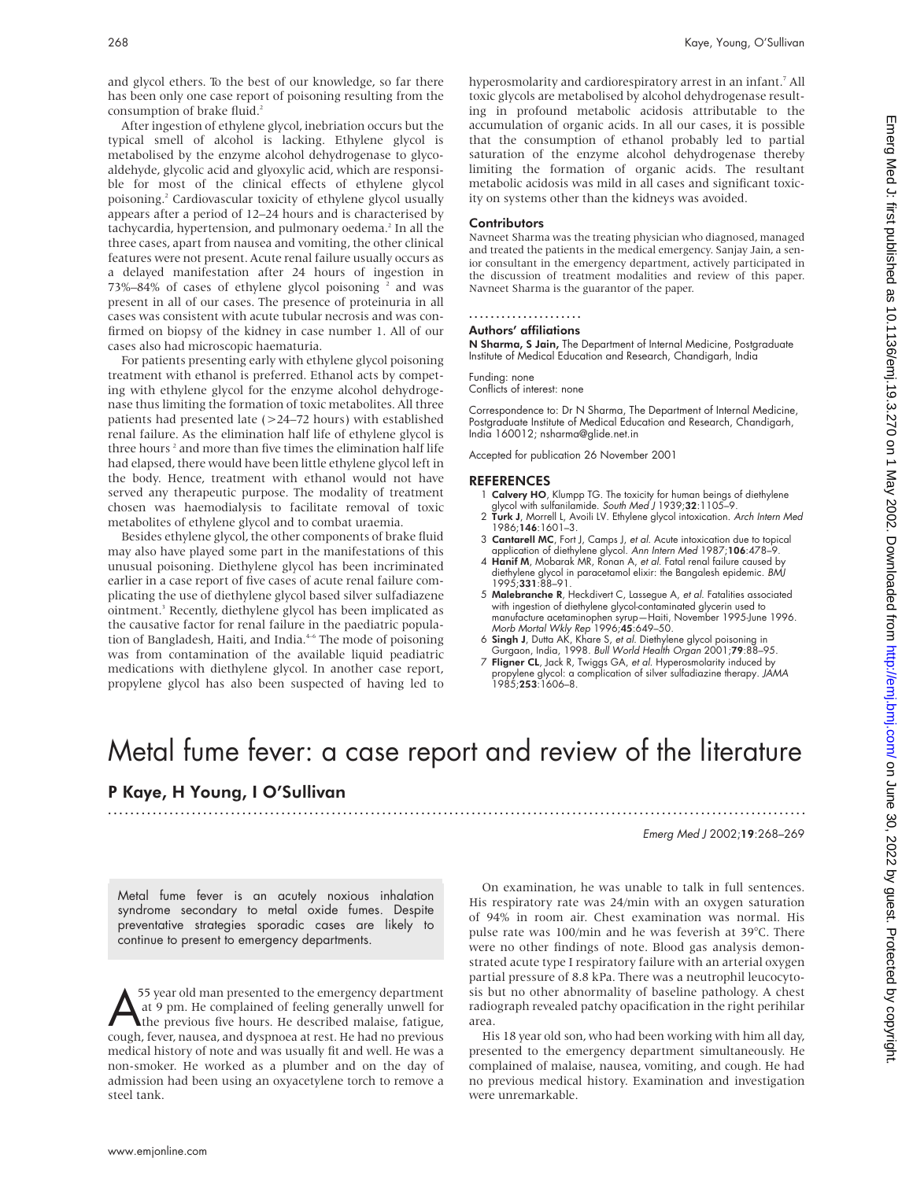and glycol ethers. To the best of our knowledge, so far there has been only one case report of poisoning resulting from the consumption of brake fluid.<sup>2</sup>

After ingestion of ethylene glycol, inebriation occurs but the typical smell of alcohol is lacking. Ethylene glycol is metabolised by the enzyme alcohol dehydrogenase to glycoaldehyde, glycolic acid and glyoxylic acid, which are responsible for most of the clinical effects of ethylene glycol poisoning.2 Cardiovascular toxicity of ethylene glycol usually appears after a period of 12–24 hours and is characterised by tachycardia, hypertension, and pulmonary oedema.<sup>2</sup> In all the three cases, apart from nausea and vomiting, the other clinical features were not present. Acute renal failure usually occurs as a delayed manifestation after 24 hours of ingestion in  $73\% - 84\%$  of cases of ethylene glycol poisoning  $2$  and was present in all of our cases. The presence of proteinuria in all cases was consistent with acute tubular necrosis and was confirmed on biopsy of the kidney in case number 1. All of our cases also had microscopic haematuria.

For patients presenting early with ethylene glycol poisoning treatment with ethanol is preferred. Ethanol acts by competing with ethylene glycol for the enzyme alcohol dehydrogenase thus limiting the formation of toxic metabolites. All three patients had presented late (>24–72 hours) with established renal failure. As the elimination half life of ethylene glycol is three hours<sup>2</sup> and more than five times the elimination half life had elapsed, there would have been little ethylene glycol left in the body. Hence, treatment with ethanol would not have served any therapeutic purpose. The modality of treatment chosen was haemodialysis to facilitate removal of toxic metabolites of ethylene glycol and to combat uraemia.

Besides ethylene glycol, the other components of brake fluid may also have played some part in the manifestations of this unusual poisoning. Diethylene glycol has been incriminated earlier in a case report of five cases of acute renal failure complicating the use of diethylene glycol based silver sulfadiazene ointment.3 Recently, diethylene glycol has been implicated as the causative factor for renal failure in the paediatric population of Bangladesh, Haiti, and India.<sup>46</sup> The mode of poisoning was from contamination of the available liquid peadiatric medications with diethylene glycol. In another case report, propylene glycol has also been suspected of having led to

hyperosmolarity and cardiorespiratory arrest in an infant.<sup>7</sup> All toxic glycols are metabolised by alcohol dehydrogenase resulting in profound metabolic acidosis attributable to the accumulation of organic acids. In all our cases, it is possible that the consumption of ethanol probably led to partial saturation of the enzyme alcohol dehydrogenase thereby limiting the formation of organic acids. The resultant metabolic acidosis was mild in all cases and significant toxicity on systems other than the kidneys was avoided.

#### **Contributors**

Navneet Sharma was the treating physician who diagnosed, managed and treated the patients in the medical emergency. Sanjay Jain, a senior consultant in the emergency department, actively participated in the discussion of treatment modalities and review of this paper. Navneet Sharma is the guarantor of the paper.

# .....................

Authors' affiliations

N Sharma, S Jain, The Department of Internal Medicine, Postgraduate Institute of Medical Education and Research, Chandigarh, India

Funding: none Conflicts of interest: none

Correspondence to: Dr N Sharma, The Department of Internal Medicine, Postgraduate Institute of Medical Education and Research, Chandigarh, India 160012; nsharma@glide.net.in

Accepted for publication 26 November 2001

#### **REFERENCES**

- 1 Calvery HO, Klumpp TG. The toxicity for human beings of diethylene
- glycol with sulfanilamide. *South Med J* 1939;**32**:1105–9.<br>2 **Turk J**, Morrell L, Avoili LV. Ethylene glycol intoxication. *Arch Intern Med* 1986;146:1601–3.
- 3 Cantarell MC, Fort J, Camps J, et al. Acute intoxication due to topical application of diethylene glycol. Ann Intern Med 1987;106:478–9.
- 4 Hanif M, Mobarak MR, Ronan A, et al. Fatal renal failure caused by diethylene glycol in paracetamol elixir: the Bangalesh epidemic. BMJ 1995;331:88–91.
- 5 Malebranche R, Heckdivert C, Lassegue A, et al. Fatalities associated with ingestion of diethylene glycol-contaminated glycerin used to manufacture acetaminophen syrup—Haiti, November 1995-June 1996. Morb Mortal Wkly Rep 1996;45:649–50.
- 6 Singh J, Dutta AK, Khare S, et al. Diethylene glycol poisoning in Gurgaon, India, 1998. Bull World Health Organ 2001;79:88–95.
- 7 Fligner CL, Jack R, Twiggs GA, et al. Hyperosmolarity induced by propylene glycol: a complication of silver sulfadiazine therapy. *JAMA*<br>1985;**253**:1606–8.

# Metal fume fever: a case report and review of the literature

.............................................................................................................................

# P Kaye, H Young, I O'Sullivan

Emerg Med J 2002;19:268–269

Metal fume fever is an acutely noxious inhalation syndrome secondary to metal oxide fumes. Despite preventative strategies sporadic cases are likely to continue to present to emergency departments.

55 year old man presented to the emergency department<br>at 9 pm. He complained of feeling generally unwell for<br>the previous five hours. He described malaise, fatigue,<br>cough fever nausea and dyspnoea at rest. He had no previo at 9 pm. He complained of feeling generally unwell for the previous five hours. He described malaise, fatigue, cough, fever, nausea, and dyspnoea at rest. He had no previous medical history of note and was usually fit and well. He was a non-smoker. He worked as a plumber and on the day of admission had been using an oxyacetylene torch to remove a steel tank.

On examination, he was unable to talk in full sentences. His respiratory rate was 24/min with an oxygen saturation of 94% in room air. Chest examination was normal. His pulse rate was 100/min and he was feverish at 39°C. There were no other findings of note. Blood gas analysis demonstrated acute type I respiratory failure with an arterial oxygen partial pressure of 8.8 kPa. There was a neutrophil leucocytosis but no other abnormality of baseline pathology. A chest radiograph revealed patchy opacification in the right perihilar area.

His 18 year old son, who had been working with him all day, presented to the emergency department simultaneously. He complained of malaise, nausea, vomiting, and cough. He had no previous medical history. Examination and investigation were unremarkable.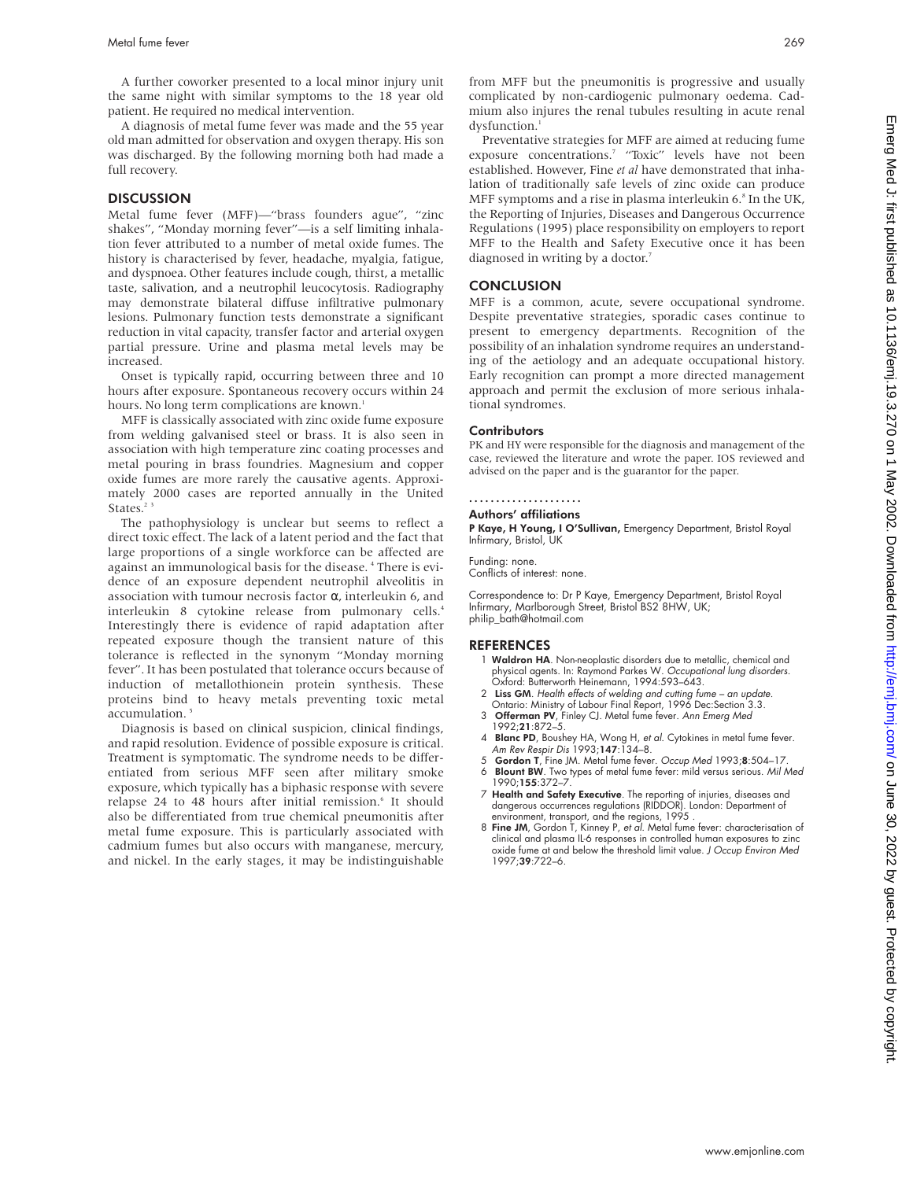A further coworker presented to a local minor injury unit the same night with similar symptoms to the 18 year old patient. He required no medical intervention.

A diagnosis of metal fume fever was made and the 55 year old man admitted for observation and oxygen therapy. His son was discharged. By the following morning both had made a full recovery.

#### **DISCUSSION**

Metal fume fever (MFF)—"brass founders ague", "zinc shakes", "Monday morning fever"—is a self limiting inhalation fever attributed to a number of metal oxide fumes. The history is characterised by fever, headache, myalgia, fatigue, and dyspnoea. Other features include cough, thirst, a metallic taste, salivation, and a neutrophil leucocytosis. Radiography may demonstrate bilateral diffuse infiltrative pulmonary lesions. Pulmonary function tests demonstrate a significant reduction in vital capacity, transfer factor and arterial oxygen partial pressure. Urine and plasma metal levels may be increased.

Onset is typically rapid, occurring between three and 10 hours after exposure. Spontaneous recovery occurs within 24 hours. No long term complications are known.<sup>1</sup>

MFF is classically associated with zinc oxide fume exposure from welding galvanised steel or brass. It is also seen in association with high temperature zinc coating processes and metal pouring in brass foundries. Magnesium and copper oxide fumes are more rarely the causative agents. Approximately 2000 cases are reported annually in the United States.<sup>23</sup>

The pathophysiology is unclear but seems to reflect a direct toxic effect. The lack of a latent period and the fact that large proportions of a single workforce can be affected are against an immunological basis for the disease. <sup>4</sup> There is evidence of an exposure dependent neutrophil alveolitis in association with tumour necrosis factor α, interleukin 6, and interleukin 8 cytokine release from pulmonary cells.<sup>4</sup> Interestingly there is evidence of rapid adaptation after repeated exposure though the transient nature of this tolerance is reflected in the synonym "Monday morning fever". It has been postulated that tolerance occurs because of induction of metallothionein protein synthesis. These proteins bind to heavy metals preventing toxic metal accumulation.<sup>5</sup>

Diagnosis is based on clinical suspicion, clinical findings, and rapid resolution. Evidence of possible exposure is critical. Treatment is symptomatic. The syndrome needs to be differentiated from serious MFF seen after military smoke exposure, which typically has a biphasic response with severe relapse 24 to 48 hours after initial remission.<sup>6</sup> It should also be differentiated from true chemical pneumonitis after metal fume exposure. This is particularly associated with cadmium fumes but also occurs with manganese, mercury, and nickel. In the early stages, it may be indistinguishable

from MFF but the pneumonitis is progressive and usually complicated by non-cardiogenic pulmonary oedema. Cadmium also injures the renal tubules resulting in acute renal dysfunction.<sup>1</sup>

Preventative strategies for MFF are aimed at reducing fume exposure concentrations.<sup>7</sup> "Toxic" levels have not been established. However, Fine *et al* have demonstrated that inhalation of traditionally safe levels of zinc oxide can produce MFF symptoms and a rise in plasma interleukin  $6.8$  In the UK, the Reporting of Injuries, Diseases and Dangerous Occurrence Regulations (1995) place responsibility on employers to report MFF to the Health and Safety Executive once it has been diagnosed in writing by a doctor.<sup>7</sup>

#### **CONCLUSION**

MFF is a common, acute, severe occupational syndrome. Despite preventative strategies, sporadic cases continue to present to emergency departments. Recognition of the possibility of an inhalation syndrome requires an understanding of the aetiology and an adequate occupational history. Early recognition can prompt a more directed management approach and permit the exclusion of more serious inhalational syndromes.

#### **Contributors**

PK and HY were responsible for the diagnosis and management of the case, reviewed the literature and wrote the paper. IOS reviewed and advised on the paper and is the guarantor for the paper.

#### .....................

# Authors' affiliations

P Kaye, H Young, I O'Sullivan, Emergency Department, Bristol Royal Infirmary, Bristol, UK

Funding: none.

Conflicts of interest: none.

Correspondence to: Dr P Kaye, Emergency Department, Bristol Royal Infirmary, Marlborough Street, Bristol BS2 8HW, UK; philip\_bath@hotmail.com

- 1 Waldron HA. Non-neoplastic disorders due to metallic, chemical and physical agents. In: Raymond Parkes W. Occupational lung disorders. Oxford: Butterworth Heinemann, 1994:593–643.
- 2 Liss GM. Health effects of welding and cutting fume an update. Ontario: Ministry of Labour Final Report, 1996 Dec:Section 3.3.
- 3 Offerman PV, Finley CJ. Metal fume fever. Ann Emerg Med 1992;21:872–5.
- 4 Blanc PD, Boushey HA, Wong H, et al. Cytokines in metal fume fever. Am Rev Respir Dis 1993;147:134–8.
- 5 Gordon T, Fine JM. Metal fume fever. Occup Med 1993;8:504–17. 6 Blount BW. Two types of metal fume fever: mild versus serious. Mil Med 1990;155:372–7.
- 7 Health and Safety Executive. The reporting of injuries, diseases and dangerous occurrences regulations (RIDDOR). London: Department of environment, transport, and the regions, 1995 .
- 8 Fine JM, Gordon T, Kinney P, et al. Metal fume fever: characterisation of clinical and plasma IL-6 responses in controlled human exposures to zinc oxide fume at and below the threshold limit value. J Occup Environ Med 1997;39:722–6.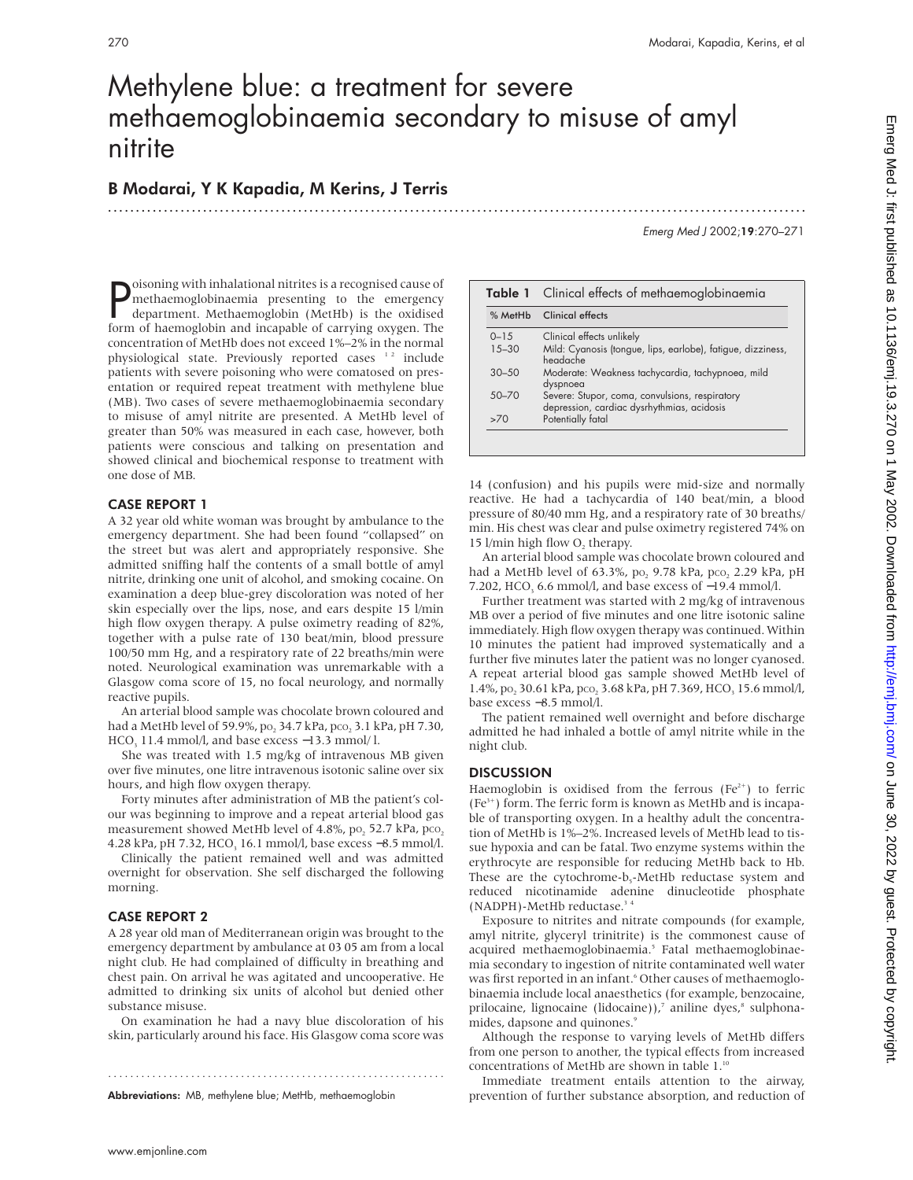# Methylene blue: a treatment for severe methaemoglobinaemia secondary to misuse of amyl nitrite

# B Modarai, Y K Kapadia, M Kerins, J Terris .............................................................................................................................

Emerg Med J 2002;19:270–271

**P** oisoning with inhalational nitrites is a recognised cause of methaemoglobinaemia presenting to the emergency department. Methaemoglobin (MetHb) is the oxidised form of haemoglobin and incapable of carrying oxygen. The oisoning with inhalational nitrites is a recognised cause of methaemoglobinaemia presenting to the emergency department. Methaemoglobin (MetHb) is the oxidised concentration of MetHb does not exceed 1%–2% in the normal physiological state. Previously reported cases <sup>12</sup> include patients with severe poisoning who were comatosed on presentation or required repeat treatment with methylene blue (MB). Two cases of severe methaemoglobinaemia secondary to misuse of amyl nitrite are presented. A MetHb level of greater than 50% was measured in each case, however, both patients were conscious and talking on presentation and showed clinical and biochemical response to treatment with one dose of MB.

# CASE REPORT 1

A 32 year old white woman was brought by ambulance to the emergency department. She had been found "collapsed" on the street but was alert and appropriately responsive. She admitted sniffing half the contents of a small bottle of amyl nitrite, drinking one unit of alcohol, and smoking cocaine. On examination a deep blue-grey discoloration was noted of her skin especially over the lips, nose, and ears despite 15 l/min high flow oxygen therapy. A pulse oximetry reading of 82%, together with a pulse rate of 130 beat/min, blood pressure 100/50 mm Hg, and a respiratory rate of 22 breaths/min were noted. Neurological examination was unremarkable with a Glasgow coma score of 15, no focal neurology, and normally reactive pupils.

An arterial blood sample was chocolate brown coloured and had a MetHb level of 59.9%, po<sub>2</sub> 34.7 kPa, pco<sub>2</sub> 3.1 kPa, pH 7.30, HCO<sub>3</sub> 11.4 mmol/l, and base excess  $-13.3$  mmol/l.

She was treated with 1.5 mg/kg of intravenous MB given over five minutes, one litre intravenous isotonic saline over six hours, and high flow oxygen therapy.

Forty minutes after administration of MB the patient's colour was beginning to improve and a repeat arterial blood gas measurement showed MetHb level of 4.8%,  $po_2$  52.7 kPa,  $pco_2$ 4.28 kPa, pH 7.32, HCO<sub>3</sub> 16.1 mmol/l, base excess −8.5 mmol/l.

Clinically the patient remained well and was admitted overnight for observation. She self discharged the following morning.

# CASE REPORT 2

A 28 year old man of Mediterranean origin was brought to the emergency department by ambulance at 03 05 am from a local night club. He had complained of difficulty in breathing and chest pain. On arrival he was agitated and uncooperative. He admitted to drinking six units of alcohol but denied other substance misuse.

On examination he had a navy blue discoloration of his skin, particularly around his face. His Glasgow coma score was

.............................................................

Abbreviations: MB, methylene blue; MetHb, methaemoglobin

| Table 1   | Clinical effects of methaemoglobinaemia                                                      |  |
|-----------|----------------------------------------------------------------------------------------------|--|
| % MetHb   | Clinical effects                                                                             |  |
| $0 - 15$  | Clinical effects unlikely                                                                    |  |
| $15 - 30$ | Mild: Cyanosis (tongue, lips, earlobe), fatigue, dizziness,<br>headache                      |  |
| $30 - 50$ | Moderate: Weakness tachycardia, tachypnoea, mild<br>dyspnoea                                 |  |
| $50 - 70$ | Severe: Stupor, coma, convulsions, respiratory<br>depression, cardiac dysrhythmias, acidosis |  |
| >70       | Potentially fatal                                                                            |  |

14 (confusion) and his pupils were mid-size and normally reactive. He had a tachycardia of 140 beat/min, a blood pressure of 80/40 mm Hg, and a respiratory rate of 30 breaths/ min. His chest was clear and pulse oximetry registered 74% on 15 l/min high flow O, therapy.

An arterial blood sample was chocolate brown coloured and had a MetHb level of 63.3%, po, 9.78 kPa, pco, 2.29 kPa, pH 7.202, HCO, 6.6 mmol/l, and base excess of −19.4 mmol/l.

Further treatment was started with 2 mg/kg of intravenous MB over a period of five minutes and one litre isotonic saline immediately. High flow oxygen therapy was continued. Within 10 minutes the patient had improved systematically and a further five minutes later the patient was no longer cyanosed. A repeat arterial blood gas sample showed MetHb level of 1.4%, po<sub>2</sub> 30.61 kPa, pco<sub>2</sub> 3.68 kPa, pH 7.369, HCO<sub>3</sub> 15.6 mmol/l, base excess −8.5 mmol/l.

The patient remained well overnight and before discharge admitted he had inhaled a bottle of amyl nitrite while in the night club.

## **DISCUSSION**

Haemoglobin is oxidised from the ferrous ( $Fe<sup>2+</sup>$ ) to ferric  $(Fe<sup>3+</sup>)$  form. The ferric form is known as MetHb and is incapable of transporting oxygen. In a healthy adult the concentration of MetHb is 1%–2%. Increased levels of MetHb lead to tissue hypoxia and can be fatal. Two enzyme systems within the erythrocyte are responsible for reducing MetHb back to Hb. These are the cytochrome- $b_s$ -MetHb reductase system and reduced nicotinamide adenine dinucleotide phosphate  $(NADPH)$ -MetHb reductase.<sup>3</sup>

Exposure to nitrites and nitrate compounds (for example, amyl nitrite, glyceryl trinitrite) is the commonest cause of acquired methaemoglobinaemia.<sup>5</sup> Fatal methaemoglobinaemia secondary to ingestion of nitrite contaminated well water was first reported in an infant.<sup>6</sup> Other causes of methaemoglobinaemia include local anaesthetics (for example, benzocaine, prilocaine, lignocaine (lidocaine)),<sup>7</sup> aniline dyes,<sup>8</sup> sulphonamides, dapsone and quinones.<sup>9</sup>

Although the response to varying levels of MetHb differs from one person to another, the typical effects from increased concentrations of MetHb are shown in table 1.<sup>10</sup>

Immediate treatment entails attention to the airway, prevention of further substance absorption, and reduction of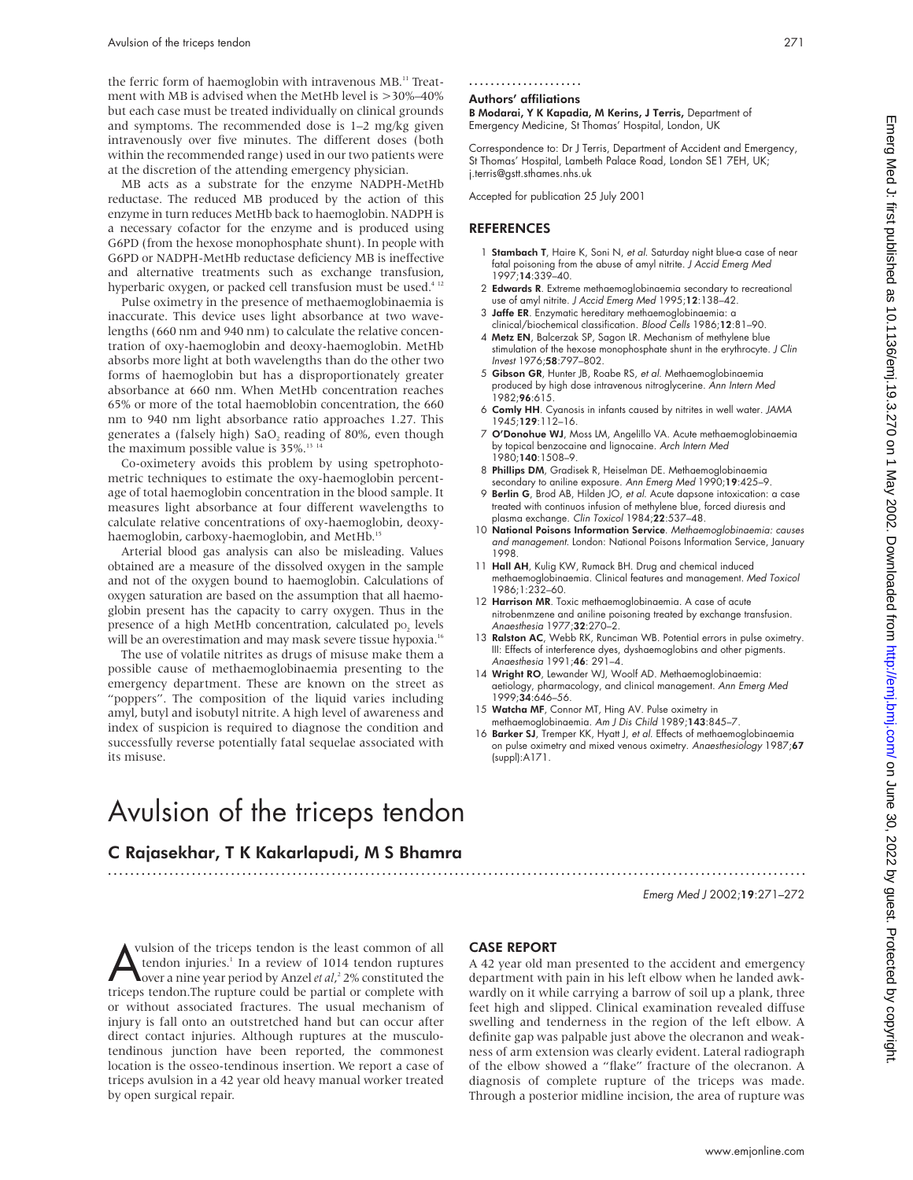the ferric form of haemoglobin with intravenous MB.<sup>11</sup> Treatment with MB is advised when the MetHb level is >30%–40% but each case must be treated individually on clinical grounds and symptoms. The recommended dose is 1–2 mg/kg given intravenously over five minutes. The different doses (both within the recommended range) used in our two patients were at the discretion of the attending emergency physician.

MB acts as a substrate for the enzyme NADPH-MetHb reductase. The reduced MB produced by the action of this enzyme in turn reduces MetHb back to haemoglobin. NADPH is a necessary cofactor for the enzyme and is produced using G6PD (from the hexose monophosphate shunt). In people with G6PD or NADPH-MetHb reductase deficiency MB is ineffective and alternative treatments such as exchange transfusion, hyperbaric oxygen, or packed cell transfusion must be used.<sup>4 12</sup>

Pulse oximetry in the presence of methaemoglobinaemia is inaccurate. This device uses light absorbance at two wavelengths (660 nm and 940 nm) to calculate the relative concentration of oxy-haemoglobin and deoxy-haemoglobin. MetHb absorbs more light at both wavelengths than do the other two forms of haemoglobin but has a disproportionately greater absorbance at 660 nm. When MetHb concentration reaches 65% or more of the total haemoblobin concentration, the 660 nm to 940 nm light absorbance ratio approaches 1.27. This generates a (falsely high) SaO<sub>2</sub> reading of 80%, even though the maximum possible value is 35%.<sup>13 14</sup>

Co-oximetery avoids this problem by using spetrophotometric techniques to estimate the oxy-haemoglobin percentage of total haemoglobin concentration in the blood sample. It measures light absorbance at four different wavelengths to calculate relative concentrations of oxy-haemoglobin, deoxyhaemoglobin, carboxy-haemoglobin, and MetHb.<sup>15</sup>

Arterial blood gas analysis can also be misleading. Values obtained are a measure of the dissolved oxygen in the sample and not of the oxygen bound to haemoglobin. Calculations of oxygen saturation are based on the assumption that all haemoglobin present has the capacity to carry oxygen. Thus in the presence of a high MetHb concentration, calculated po, levels will be an overestimation and may mask severe tissue hypoxia.<sup>16</sup>

The use of volatile nitrites as drugs of misuse make them a possible cause of methaemoglobinaemia presenting to the emergency department. These are known on the street as "poppers". The composition of the liquid varies including amyl, butyl and isobutyl nitrite. A high level of awareness and index of suspicion is required to diagnose the condition and successfully reverse potentially fatal sequelae associated with its misuse.

# Avulsion of the triceps tendon

# C Rajasekhar, T K Kakarlapudi, M S Bhamra

# Authors' affiliations

B Modarai, Y K Kapadia, M Kerins, J Terris, Department of Emergency Medicine, St Thomas' Hospital, London, UK

Correspondence to: Dr J Terris, Department of Accident and Emergency, St Thomas' Hospital, Lambeth Palace Road, London SE1 7EH, UK; j.terris@gstt.sthames.nhs.uk

Accepted for publication 25 July 2001

### **REFERENCES**

- 1 Stambach T, Haire K, Soni N, et al. Saturday night blue-a case of near fatal poisoning from the abuse of amyl nitrite. J Accid Emerg Med 1997;14:339–40.
- 2 Edwards R. Extreme methaemoglobinaemia secondary to recreational use of amyl nitrite. J Accid Emerg Med 1995;12:138–42.
- 3 Jaffe ER. Enzymatic hereditary methaemoglobinaemia: a clinical/biochemical classification. Blood Cells 1986;12:81–90.
- 4 Metz EN, Balcerzak SP, Sagon LR. Mechanism of methylene blue stimulation of the hexose monophosphate shunt in the erythrocyte. J Clin Invest 1976;58:797–802.
- 5 Gibson GR, Hunter JB, Roabe RS, et al. Methaemoglobinaemia produced by high dose intravenous nitroglycerine. Ann Intern Med  $1982:96:615.$
- 6 Comly HH. Cyanosis in infants caused by nitrites in well water. JAMA 1945;129:112–16.
- 7 O'Donohue WJ, Moss LM, Angelillo VA. Acute methaemoglobinaemia by topical benzocaine and lignocaine. Arch Intern Med 1980;140:1508–9.
- 8 Phillips DM, Gradisek R, Heiselman DE. Methaemoglobinaemia secondary to aniline exposure. Ann Emerg Med 1990;19:425–9.
- 9 Berlin G, Brod AB, Hilden JO, et al. Acute dapsone intoxication: a case treated with continuos infusion of methylene blue, forced diuresis and plasma exchange. Clin Toxicol 1984;22:537-48.
- 10 National Poisons Information Service. Methaemoglobinaemia: causes and managemen<sup>t</sup>. London: National Poisons Information Service, January 1998.
- 11 Hall AH, Kulig KW, Rumack BH. Drug and chemical induced methaemoglobinaemia. Clinical features and management. Med Toxicol 1986;1:232–60.
- 12 Harrison MR. Toxic methaemoglobinaemia. A case of acute nitrobenmzene and aniline poisoning treated by exchange transfusion. Anaesthesia 1977;32:270–2.
- 13 Ralston AC, Webb RK, Runciman WB. Potential errors in pulse oximetry. III: Effects of interference dyes, dyshaemoglobins and other pigments. Anaesthesia 1991;46: 291–4.
- 14 Wright RO, Lewander WJ, Woolf AD. Methaemoglobinaemia: aetiology, pharmacology, and clinical management. Ann Emerg Med 1999;34:646–56.
- 15 Watcha MF, Connor MT, Hing AV. Pulse oximetry in methaemoglobinaemia. Am J Dis Child 1989;143:845–7.
- 16 Barker SJ, Tremper KK, Hyatt J, et al. Effects of methaemoglobinaemia on pulse oximetry and mixed venous oximetry. Anaesthesiology 1987;67 (suppl):A171.

Emerg Med J 2002;19:271–272

A vulsion of the triceps tendon is the least common of all<br>tendon injuries.<sup>1</sup> In a review of 1014 tendon ruptures<br>over a nine year period by Anzel *et al*,<sup>2</sup> 2% constituted the<br>triceps tendon.The rupture could be partial vulsion of the triceps tendon is the least common of all tendon injuries.<sup>1</sup> In a review of 1014 tendon ruptures over a nine year period by Anzel *et al*, <sup>2</sup> 2% constituted the or without associated fractures. The usual mechanism of injury is fall onto an outstretched hand but can occur after direct contact injuries. Although ruptures at the musculotendinous junction have been reported, the commonest location is the osseo-tendinous insertion. We report a case of triceps avulsion in a 42 year old heavy manual worker treated by open surgical repair.

## CASE REPORT

.............................................................................................................................

A 42 year old man presented to the accident and emergency department with pain in his left elbow when he landed awkwardly on it while carrying a barrow of soil up a plank, three feet high and slipped. Clinical examination revealed diffuse swelling and tenderness in the region of the left elbow. A definite gap was palpable just above the olecranon and weakness of arm extension was clearly evident. Lateral radiograph of the elbow showed a "flake" fracture of the olecranon. A diagnosis of complete rupture of the triceps was made. Through a posterior midline incision, the area of rupture was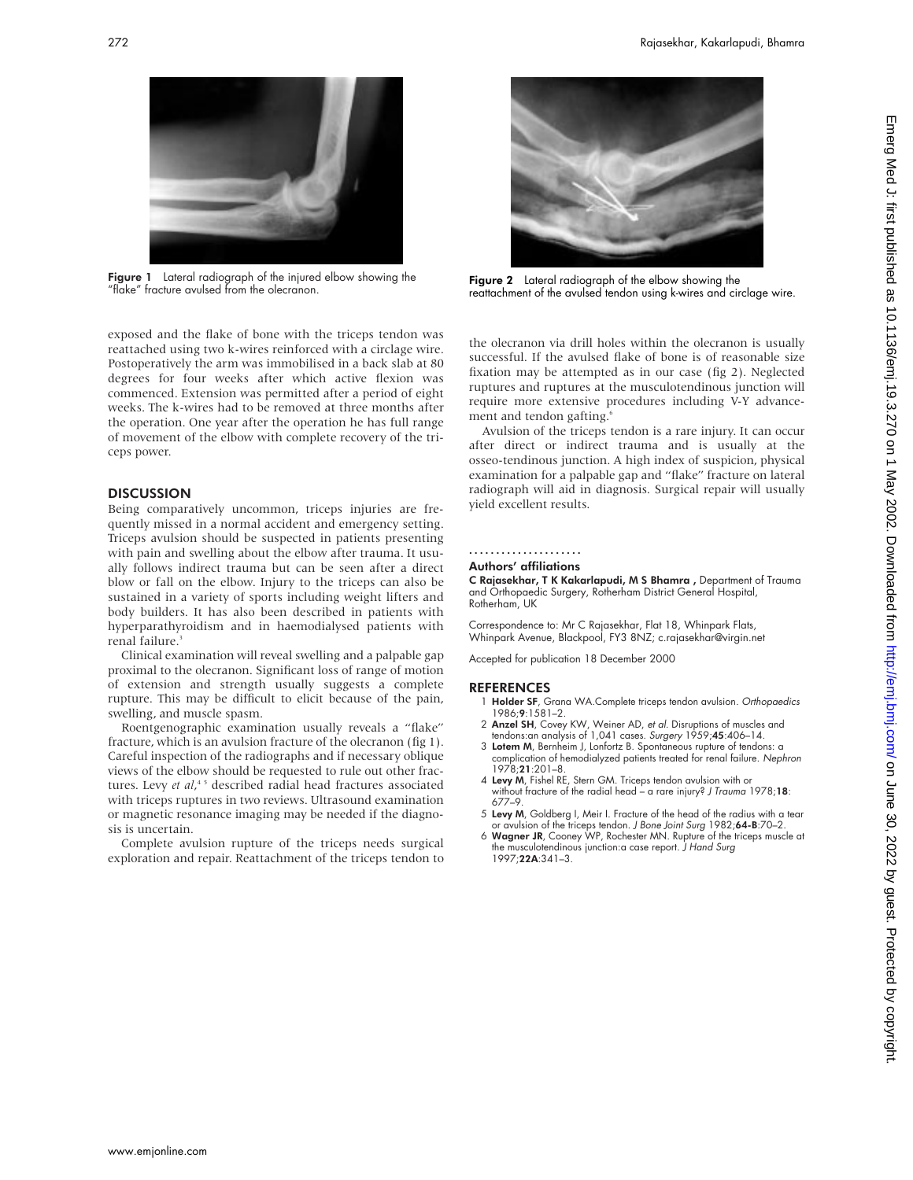

Figure 1 Lateral radiograph of the injured elbow showing the "flake" fracture avulsed from the olecranon.

exposed and the flake of bone with the triceps tendon was reattached using two k-wires reinforced with a circlage wire. Postoperatively the arm was immobilised in a back slab at 80 degrees for four weeks after which active flexion was commenced. Extension was permitted after a period of eight weeks. The k-wires had to be removed at three months after the operation. One year after the operation he has full range of movement of the elbow with complete recovery of the triceps power.

# **DISCUSSION**

Being comparatively uncommon, triceps injuries are frequently missed in a normal accident and emergency setting. Triceps avulsion should be suspected in patients presenting with pain and swelling about the elbow after trauma. It usually follows indirect trauma but can be seen after a direct blow or fall on the elbow. Injury to the triceps can also be sustained in a variety of sports including weight lifters and body builders. It has also been described in patients with hyperparathyroidism and in haemodialysed patients with renal failure.<sup>3</sup>

Clinical examination will reveal swelling and a palpable gap proximal to the olecranon. Significant loss of range of motion of extension and strength usually suggests a complete rupture. This may be difficult to elicit because of the pain, swelling, and muscle spasm.

Roentgenographic examination usually reveals a "flake" fracture, which is an avulsion fracture of the olecranon (fig 1). Careful inspection of the radiographs and if necessary oblique views of the elbow should be requested to rule out other fractures. Levy *et al*,<sup>45</sup> described radial head fractures associated with triceps ruptures in two reviews. Ultrasound examination or magnetic resonance imaging may be needed if the diagnosis is uncertain.

Complete avulsion rupture of the triceps needs surgical exploration and repair. Reattachment of the triceps tendon to



Figure 1 Lateral radiograph of the injured elbow showing the **Figure 2** Lateral radiograph of the elbow showing the<br>"flake" fracture avulsed from the olecranon. The overwhap of the avulsed tendon using k-wires and circlage

the olecranon via drill holes within the olecranon is usually successful. If the avulsed flake of bone is of reasonable size fixation may be attempted as in our case (fig 2). Neglected ruptures and ruptures at the musculotendinous junction will require more extensive procedures including V-Y advancement and tendon gafting.<sup>6</sup>

Avulsion of the triceps tendon is a rare injury. It can occur after direct or indirect trauma and is usually at the osseo-tendinous junction. A high index of suspicion, physical examination for a palpable gap and "flake" fracture on lateral radiograph will aid in diagnosis. Surgical repair will usually yield excellent results.

#### .....................

#### Authors' affiliations

C Rajasekhar, T K Kakarlapudi, M S Bhamra , Department of Trauma and Orthopaedic Surgery, Rotherham District General Hospital, Rotherham, UK

Correspondence to: Mr C Rajasekhar, Flat 18, Whinpark Flats, Whinpark Avenue, Blackpool, FY3 8NZ; c.rajasekhar@virgin.net

Accepted for publication 18 December 2000

- Holder SF, Grana WA.Complete triceps tendon avulsion. Orthopaedics 1986;9:1581–2.
- 2 Anzel SH, Covey KW, Weiner AD, et al. Disruptions of muscles and tendons:an analysis of 1,041 cases. Surgery 1959;45:406–14.
- 3 Lotem M, Bernheim J, Lonfortz B. Spontaneous rupture of tendons: a complication of hemodialyzed patients treated for renal failure. Nephron 1978;21:201–8.
- 4 Levy M, Fishel RE, Stern GM. Triceps tendon avulsion with or without fracture of the radial head - a rare injury? J Trauma 1978;18: 677–9.
- 5 Levy M, Goldberg I, Meir I. Fracture of the head of the radius with a tear or avulsion of the triceps tendon. J Bone Joint Surg 1982;64-B:70-2.
- 6 Wagner JR, Cooney WP, Rochester MN. Rupture of the triceps muscle at the musculotendinous junction:a case report. J Hand Surg 1997;22A:341–3.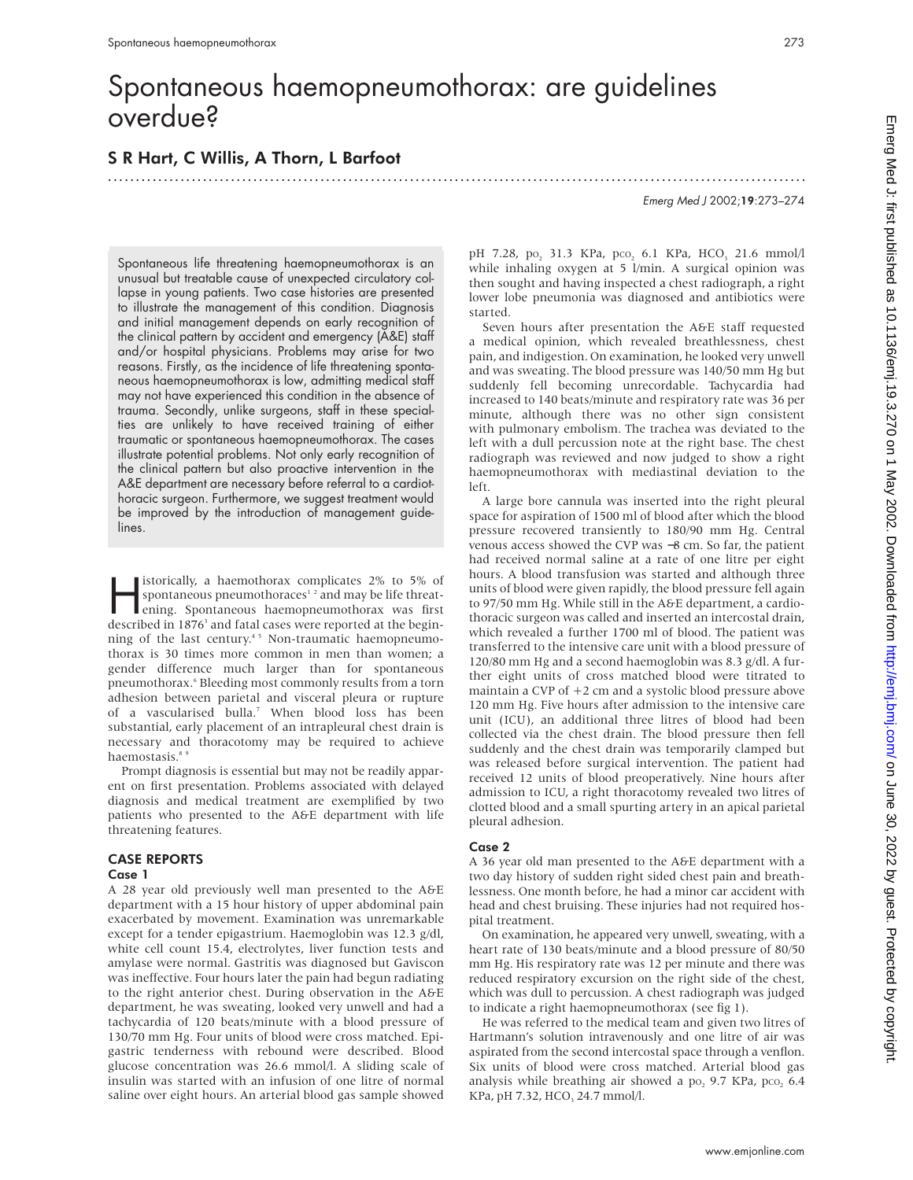# Spontaneous haemopneumothorax: are guidelines overdue?

# S R Hart, C Willis, A Thorn, L Barfoot

.............................................................................................................................

Emerg Med J 2002;19:273–274

Spontaneous life threatening haemopneumothorax is an unusual but treatable cause of unexpected circulatory collapse in young patients. Two case histories are presented to illustrate the management of this condition. Diagnosis and initial management depends on early recognition of the clinical pattern by accident and emergency (A&E) staff and/or hospital physicians. Problems may arise for two reasons. Firstly, as the incidence of life threatening spontaneous haemopneumothorax is low, admitting medical staff may not have experienced this condition in the absence of trauma. Secondly, unlike surgeons, staff in these specialties are unlikely to have received training of either traumatic or spontaneous haemopneumothorax. The cases illustrate potential problems. Not only early recognition of the clinical pattern but also proactive intervention in the A&E department are necessary before referral to a cardiothoracic surgeon. Furthermore, we suggest treatment would be improved by the introduction of management guidelines.

istorically, a haemothorax complicates  $2\%$  to  $5\%$  of<br>spontaneous pneumothoraces<sup>12</sup> and may be life threat-<br>ening. Spontaneous haemopneumothorax was first<br>described in 1876<sup>3</sup> and fatal cases were reported at the begi spontaneous pneumothoraces<sup> $12$ </sup> and may be life threatening. Spontaneous haemopneumothorax was first described in 1876<sup>3</sup> and fatal cases were reported at the beginning of the last century.<sup>45</sup> Non-traumatic haemopneumothorax is 30 times more common in men than women; a gender difference much larger than for spontaneous pneumothorax.<sup>6</sup> Bleeding most commonly results from a torn adhesion between parietal and visceral pleura or rupture of a vascularised bulla.7 When blood loss has been substantial, early placement of an intrapleural chest drain is necessary and thoracotomy may be required to achieve haemostasis.<sup>8</sup>

Prompt diagnosis is essential but may not be readily apparent on first presentation. Problems associated with delayed diagnosis and medical treatment are exemplified by two patients who presented to the A&E department with life threatening features.

## CASE REPORTS Case 1

A 28 year old previously well man presented to the A&E department with a 15 hour history of upper abdominal pain exacerbated by movement. Examination was unremarkable except for a tender epigastrium. Haemoglobin was 12.3 g/dl, white cell count 15.4, electrolytes, liver function tests and amylase were normal. Gastritis was diagnosed but Gaviscon was ineffective. Four hours later the pain had begun radiating to the right anterior chest. During observation in the A&E department, he was sweating, looked very unwell and had a tachycardia of 120 beats/minute with a blood pressure of 130/70 mm Hg. Four units of blood were cross matched. Epigastric tenderness with rebound were described. Blood glucose concentration was 26.6 mmol/l. A sliding scale of insulin was started with an infusion of one litre of normal saline over eight hours. An arterial blood gas sample showed

pH 7.28, po<sub>2</sub> 31.3 KPa, pco<sub>2</sub> 6.1 KPa, HCO<sub>3</sub> 21.6 mmol/l while inhaling oxygen at 5 l/min. A surgical opinion was then sought and having inspected a chest radiograph, a right lower lobe pneumonia was diagnosed and antibiotics were started.

Seven hours after presentation the A&E staff requested a medical opinion, which revealed breathlessness, chest pain, and indigestion. On examination, he looked very unwell and was sweating. The blood pressure was 140/50 mm Hg but suddenly fell becoming unrecordable. Tachycardia had increased to 140 beats/minute and respiratory rate was 36 per minute, although there was no other sign consistent with pulmonary embolism. The trachea was deviated to the left with a dull percussion note at the right base. The chest radiograph was reviewed and now judged to show a right haemopneumothorax with mediastinal deviation to the left.

A large bore cannula was inserted into the right pleural space for aspiration of 1500 ml of blood after which the blood pressure recovered transiently to 180/90 mm Hg. Central venous access showed the CVP was −8 cm. So far, the patient had received normal saline at a rate of one litre per eight hours. A blood transfusion was started and although three units of blood were given rapidly, the blood pressure fell again to 97/50 mm Hg. While still in the A&E department, a cardiothoracic surgeon was called and inserted an intercostal drain, which revealed a further 1700 ml of blood. The patient was transferred to the intensive care unit with a blood pressure of 120/80 mm Hg and a second haemoglobin was 8.3 g/dl. A further eight units of cross matched blood were titrated to maintain a CVP of  $+2$  cm and a systolic blood pressure above 120 mm Hg. Five hours after admission to the intensive care unit (ICU), an additional three litres of blood had been collected via the chest drain. The blood pressure then fell suddenly and the chest drain was temporarily clamped but was released before surgical intervention. The patient had received 12 units of blood preoperatively. Nine hours after admission to ICU, a right thoracotomy revealed two litres of clotted blood and a small spurting artery in an apical parietal pleural adhesion.

## Case 2

A 36 year old man presented to the A&E department with a two day history of sudden right sided chest pain and breathlessness. One month before, he had a minor car accident with head and chest bruising. These injuries had not required hospital treatment.

On examination, he appeared very unwell, sweating, with a heart rate of 130 beats/minute and a blood pressure of 80/50 mm Hg. His respiratory rate was 12 per minute and there was reduced respiratory excursion on the right side of the chest, which was dull to percussion. A chest radiograph was judged to indicate a right haemopneumothorax (see fig 1).

He was referred to the medical team and given two litres of Hartmann's solution intravenously and one litre of air was aspirated from the second intercostal space through a venflon. Six units of blood were cross matched. Arterial blood gas analysis while breathing air showed a po, 9.7 KPa, pco, 6.4 KPa, pH 7.32, HCO<sub>3</sub> 24.7 mmol/l.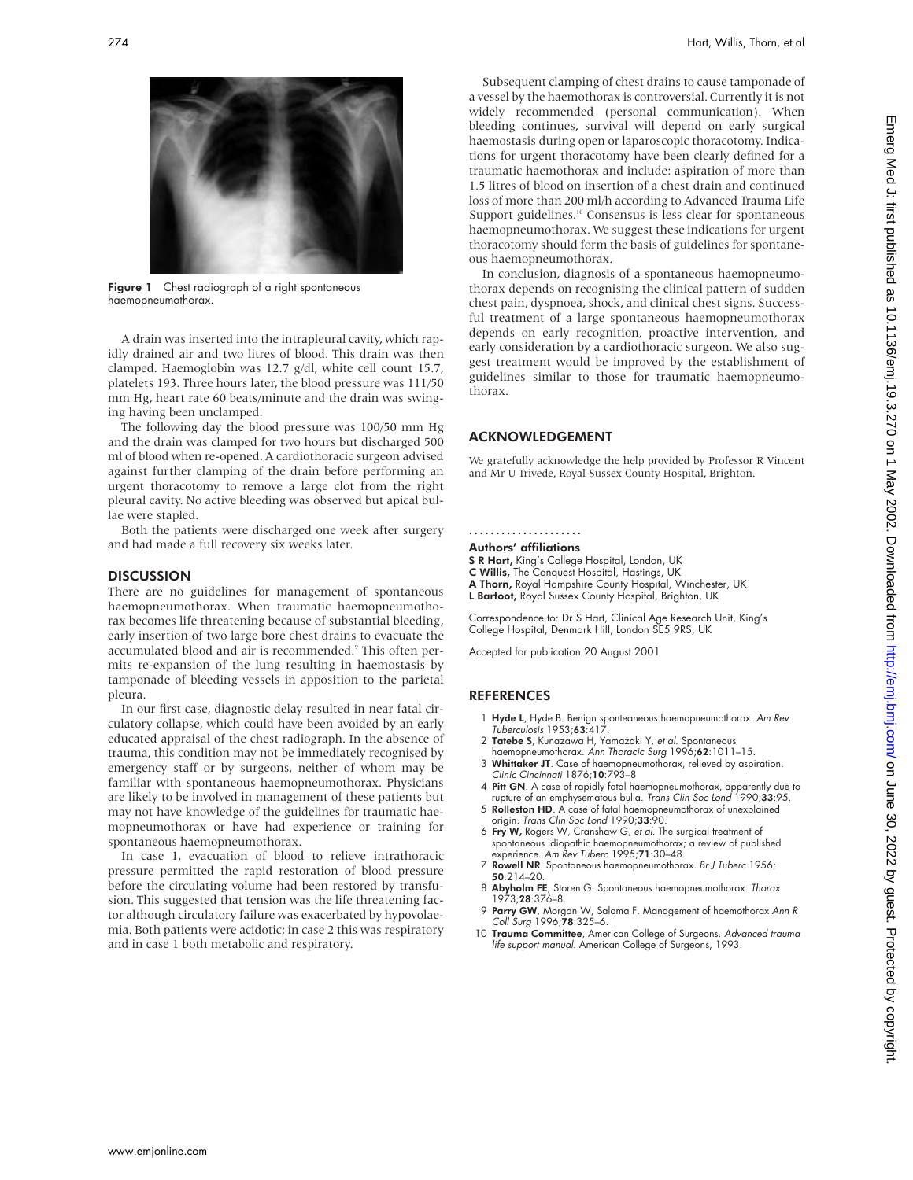

Figure 1 Chest radiograph of a right spontaneous haemopneumothorax.

A drain was inserted into the intrapleural cavity, which rapidly drained air and two litres of blood. This drain was then clamped. Haemoglobin was 12.7 g/dl, white cell count 15.7, platelets 193. Three hours later, the blood pressure was 111/50 mm Hg, heart rate 60 beats/minute and the drain was swinging having been unclamped.

The following day the blood pressure was 100/50 mm Hg and the drain was clamped for two hours but discharged 500 ml of blood when re-opened. A cardiothoracic surgeon advised against further clamping of the drain before performing an urgent thoracotomy to remove a large clot from the right pleural cavity. No active bleeding was observed but apical bullae were stapled.

Both the patients were discharged one week after surgery and had made a full recovery six weeks later.

### **DISCUSSION**

There are no guidelines for management of spontaneous haemopneumothorax. When traumatic haemopneumothorax becomes life threatening because of substantial bleeding, early insertion of two large bore chest drains to evacuate the accumulated blood and air is recommended.<sup>9</sup> This often permits re-expansion of the lung resulting in haemostasis by tamponade of bleeding vessels in apposition to the parietal pleura.

In our first case, diagnostic delay resulted in near fatal circulatory collapse, which could have been avoided by an early educated appraisal of the chest radiograph. In the absence of trauma, this condition may not be immediately recognised by emergency staff or by surgeons, neither of whom may be familiar with spontaneous haemopneumothorax. Physicians are likely to be involved in management of these patients but may not have knowledge of the guidelines for traumatic haemopneumothorax or have had experience or training for spontaneous haemopneumothorax.

In case 1, evacuation of blood to relieve intrathoracic pressure permitted the rapid restoration of blood pressure before the circulating volume had been restored by transfusion. This suggested that tension was the life threatening factor although circulatory failure was exacerbated by hypovolaemia. Both patients were acidotic; in case 2 this was respiratory and in case 1 both metabolic and respiratory.

Subsequent clamping of chest drains to cause tamponade of a vessel by the haemothorax is controversial. Currently it is not widely recommended (personal communication). When bleeding continues, survival will depend on early surgical haemostasis during open or laparoscopic thoracotomy. Indications for urgent thoracotomy have been clearly defined for a traumatic haemothorax and include: aspiration of more than 1.5 litres of blood on insertion of a chest drain and continued loss of more than 200 ml/h according to Advanced Trauma Life Support guidelines.<sup>10</sup> Consensus is less clear for spontaneous haemopneumothorax. We suggest these indications for urgent thoracotomy should form the basis of guidelines for spontaneous haemopneumothorax.

In conclusion, diagnosis of a spontaneous haemopneumothorax depends on recognising the clinical pattern of sudden chest pain, dyspnoea, shock, and clinical chest signs. Successful treatment of a large spontaneous haemopneumothorax depends on early recognition, proactive intervention, and early consideration by a cardiothoracic surgeon. We also suggest treatment would be improved by the establishment of guidelines similar to those for traumatic haemopneumothorax.

# ACKNOWLEDGEMENT

We gratefully acknowledge the help provided by Professor R Vincent and Mr U Trivede, Royal Sussex County Hospital, Brighton.

#### .....................

- Authors' affiliations
- S R Hart, King's College Hospital, London, UK
- C Willis, The Conquest Hospital, Hastings, UK
- A Thorn, Royal Hampshire County Hospital, Winchester, UK L Barfoot, Royal Sussex County Hospital, Brighton, UK

Correspondence to: Dr S Hart, Clinical Age Research Unit, King's College Hospital, Denmark Hill, London SE5 9RS, UK

Accepted for publication 20 August 2001

- 1 **Hyde L**, Hyde B. Benign sponteaneous haemopneumothorax. *Am Rev*<br>Tuberculosis 1953;**63**:417.
- 2 Tatebe S, Kunazawa H, Yamazaki Y, et al. Spontaneous
- haemopneumothorax. Ann Thoracic Surg 1996;62:1011–15. 3 Whittaker JT. Case of haemopneumothorax, relieved by aspiration.
- Clinic Cincinnati 1876;10:793–8 4 Pitt GN. A case of rapidly fatal haemopneumothorax, apparently due to
- rupture of an emphysematous bulla. Trans Clin Soc Lond 1990;33:95. 5 Rolleston HD. A case of fatal haemopneumothorax of unexplained
- origin. Trans Clin Soc Lond 1990;33:90. 6 Fry W, Rogers W, Cranshaw G, et al. The surgical treatment of
- spontaneous idiopathic haemopneumothorax; a review of published experience. Am Rev Tuberc 1995;71:30–48.
- 7 Rowell NR. Spontaneous haemopneumothorax. Br J Tuberc 1956; 50:214–20.
- 8 Abyholm FE, Storen G. Spontaneous haemopneumothorax. Thorax 1973;28:376–8.
- 9 Parry GW, Morgan W, Salama F. Management of haemothorax Ann R Coll Surg 1996;78:325–6.
- 10 Trauma Committee, American College of Surgeons. Advanced trauma life support manual. American College of Surgeons, 1993.